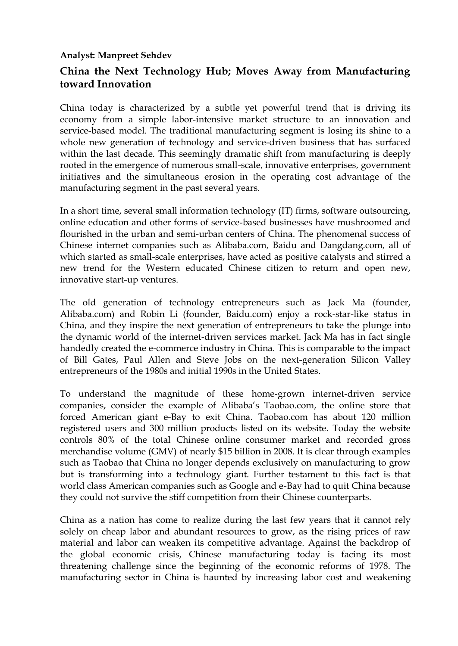## **Analyst: Manpreet Sehdev**

## **China the Next Technology Hub; Moves Away from Manufacturing toward Innovation**

China today is characterized by a subtle yet powerful trend that is driving its economy from a simple labor-intensive market structure to an innovation and service-based model. The traditional manufacturing segment is losing its shine to a whole new generation of technology and service-driven business that has surfaced within the last decade. This seemingly dramatic shift from manufacturing is deeply rooted in the emergence of numerous small-scale, innovative enterprises, government initiatives and the simultaneous erosion in the operating cost advantage of the manufacturing segment in the past several years.

In a short time, several small information technology (IT) firms, software outsourcing, online education and other forms of service-based businesses have mushroomed and flourished in the urban and semi-urban centers of China. The phenomenal success of Chinese internet companies such as Alibaba.com, Baidu and Dangdang.com, all of which started as small-scale enterprises, have acted as positive catalysts and stirred a new trend for the Western educated Chinese citizen to return and open new, innovative start-up ventures.

The old generation of technology entrepreneurs such as Jack Ma (founder, Alibaba.com) and Robin Li (founder, Baidu.com) enjoy a rock-star-like status in China, and they inspire the next generation of entrepreneurs to take the plunge into the dynamic world of the internet-driven services market. Jack Ma has in fact single handedly created the e-commerce industry in China. This is comparable to the impact of Bill Gates, Paul Allen and Steve Jobs on the next-generation Silicon Valley entrepreneurs of the 1980s and initial 1990s in the United States.

To understand the magnitude of these home-grown internet-driven service companies, consider the example of Alibaba's Taobao.com, the online store that forced American giant e-Bay to exit China. Taobao.com has about 120 million registered users and 300 million products listed on its website. Today the website controls 80% of the total Chinese online consumer market and recorded gross merchandise volume (GMV) of nearly \$15 billion in 2008. It is clear through examples such as Taobao that China no longer depends exclusively on manufacturing to grow but is transforming into a technology giant. Further testament to this fact is that world class American companies such as Google and e-Bay had to quit China because they could not survive the stiff competition from their Chinese counterparts.

China as a nation has come to realize during the last few years that it cannot rely solely on cheap labor and abundant resources to grow, as the rising prices of raw material and labor can weaken its competitive advantage. Against the backdrop of the global economic crisis, Chinese manufacturing today is facing its most threatening challenge since the beginning of the economic reforms of 1978. The manufacturing sector in China is haunted by increasing labor cost and weakening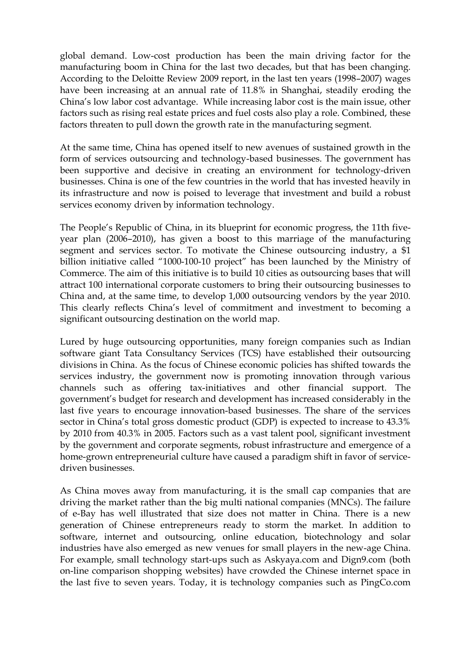global demand. Low-cost production has been the main driving factor for the manufacturing boom in China for the last two decades, but that has been changing. According to the Deloitte Review 2009 report, in the last ten years (1998–2007) wages have been increasing at an annual rate of 11.8% in Shanghai, steadily eroding the China's low labor cost advantage. While increasing labor cost is the main issue, other factors such as rising real estate prices and fuel costs also play a role. Combined, these factors threaten to pull down the growth rate in the manufacturing segment.

At the same time, China has opened itself to new avenues of sustained growth in the form of services outsourcing and technology-based businesses. The government has been supportive and decisive in creating an environment for technology-driven businesses. China is one of the few countries in the world that has invested heavily in its infrastructure and now is poised to leverage that investment and build a robust services economy driven by information technology.

The People's Republic of China, in its blueprint for economic progress, the 11th fiveyear plan (2006–2010), has given a boost to this marriage of the manufacturing segment and services sector. To motivate the Chinese outsourcing industry, a \$1 billion initiative called "1000-100-10 project" has been launched by the Ministry of Commerce. The aim of this initiative is to build 10 cities as outsourcing bases that will attract 100 international corporate customers to bring their outsourcing businesses to China and, at the same time, to develop 1,000 outsourcing vendors by the year 2010. This clearly reflects China's level of commitment and investment to becoming a significant outsourcing destination on the world map.

Lured by huge outsourcing opportunities, many foreign companies such as Indian software giant Tata Consultancy Services (TCS) have established their outsourcing divisions in China. As the focus of Chinese economic policies has shifted towards the services industry, the government now is promoting innovation through various channels such as offering tax-initiatives and other financial support. The government's budget for research and development has increased considerably in the last five years to encourage innovation-based businesses. The share of the services sector in China's total gross domestic product (GDP) is expected to increase to 43.3% by 2010 from 40.3% in 2005. Factors such as a vast talent pool, significant investment by the government and corporate segments, robust infrastructure and emergence of a home-grown entrepreneurial culture have caused a paradigm shift in favor of servicedriven businesses.

As China moves away from manufacturing, it is the small cap companies that are driving the market rather than the big multi national companies (MNCs). The failure of e-Bay has well illustrated that size does not matter in China. There is a new generation of Chinese entrepreneurs ready to storm the market. In addition to software, internet and outsourcing, online education, biotechnology and solar industries have also emerged as new venues for small players in the new-age China. For example, small technology start-ups such as Askyaya.com and Dign9.com (both on-line comparison shopping websites) have crowded the Chinese internet space in the last five to seven years. Today, it is technology companies such as PingCo.com